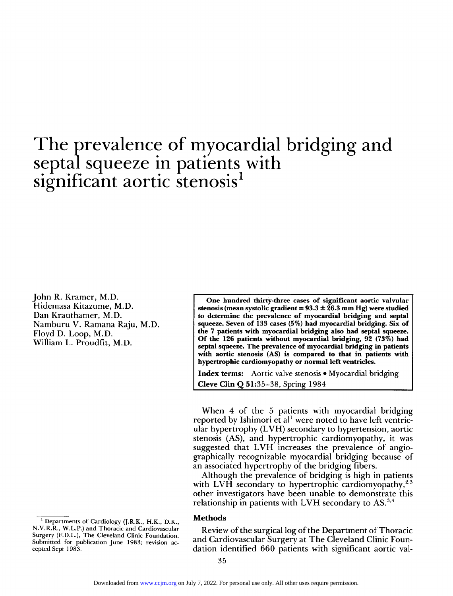# The prevalence of myocardial bridging and septal squeeze in patients with significant aortic stenosis<sup>1</sup>

John R. Kramer, M.D. Hidemasa Kitazume, M.D. Dan Krauthamer, M.D. Namburu V. Ramana Raju, M.D. Floyd D. Loop, M.D. William L. Proudfit, M.D.

**One hundred thirty-three cases of significant aortic valvular stenosis (mean systolic gradient = 93.3 ± 26.3 mm Hg) were studied to determine the prevalence of myocardial bridging and septal squeeze. Seven of 133 cases (5%) had myocardial bridging. Six of the 7 patients with myocardial bridging also had septal squeeze. Of the 126 patients without myocardial bridging, 92 (73%) had septal squeeze. The prevalence of myocardial bridging in patients with aortic stenosis (AS) is compared to that in patients with hypertrophic cardiomyopathy or normal left ventricles.** 

**Index terms: Aortic valve stenosis • Myocardial bridging Cleve Clin Q 51:35-38, Spring 1984** 

When 4 of the 5 patients with myocardial bridging reported by Ishimori et al<sup>1</sup> were noted to have left ventricular hypertrophy (LVH) secondary to hypertension, aortic stenosis (AS), and hypertrophic cardiomyopathy, it was suggested that LVH increases the prevalence of angiographically recognizable myocardial bridging because of an associated hypertrophy of the bridging fibers.

Although the prevalence of bridging is high in patients with LVH secondary to hypertrophic cardiomyopathy,  $2.3$ other investigators have been unable to demonstrate this relationship in patients with LVH secondary to  $AS.^{3,4}$ 

#### **Methods**

Review of the surgical log of the Department of Thoracic and Cardiovascular Surgery at The Cleveland Clinic Foundation identified 660 patients with significant aortic val-

**<sup>1</sup> Departments of Cardiology (J.R.K., H.K., D.K., N.V.R.R., W.L.P.) and Thoracic and Cardiovascular Surgery (F.D.L.), The Cleveland Clinic Foundation. Submitted for publication June 1983; revision accepted Sept 1983.**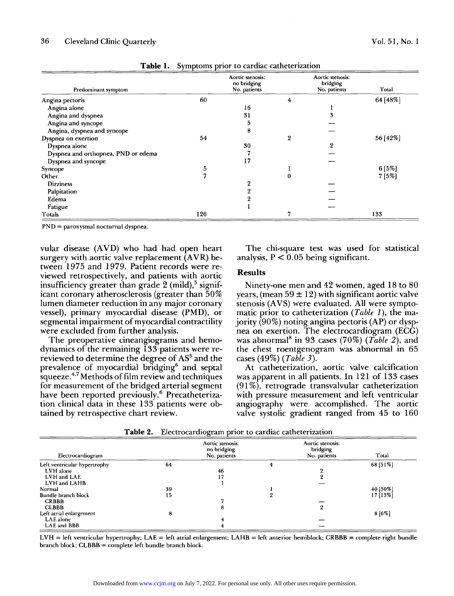| Predominant symptom                 |     | Aortic stenosis:<br>no bridging<br>No. patients |   | Aortic stenosis:<br>bridging<br>No. patients | Total    |
|-------------------------------------|-----|-------------------------------------------------|---|----------------------------------------------|----------|
| Angina pectoris                     | 60  |                                                 | 4 |                                              | 64 [48%] |
| Angina alone                        |     | 16                                              |   |                                              |          |
| Angina and dyspnea                  |     | 31                                              |   |                                              |          |
| Angina and syncope                  |     | 5                                               |   |                                              |          |
| Angina, dyspnea and syncope         |     | 8                                               |   |                                              |          |
| Dyspnea on exertion                 | 54  |                                                 | 2 |                                              | 56 [42%] |
| Dyspnea alone                       |     | 30                                              |   | 2                                            |          |
| Dyspnea and orthopnea, PND or edema |     |                                                 |   |                                              |          |
| Dyspnea and syncope                 |     | 17                                              |   |                                              |          |
| Syncope                             | 5   |                                                 |   |                                              | 6[5%]    |
| Other                               | 7   |                                                 | 0 |                                              | 7[5%]    |
| <b>Dizziness</b>                    |     | ດ                                               |   |                                              |          |
| Palpitation                         |     |                                                 |   |                                              |          |
| Edema                               |     |                                                 |   |                                              |          |
| Fatigue                             |     |                                                 |   |                                              |          |
| Totals                              | 126 |                                                 |   |                                              | 133      |

**Table 1. Symptoms prior to cardiac catheterization** 

**PND = paroxysmal nocturnal dyspnea.** 

vular disease (AVD) who had had open heart surgery with aortic valve replacement (AVR) between 1975 and 1979. Patient records were reviewed retrospectively, and patients with aortic insufficiency greater than grade 2 (mild),<sup>5</sup> significant coronary atherosclerosis (greater than 50% lumen diameter reduction in any major coronary vessel), primary myocardial disease (PMD), or segmental impairment of myocardial contractility were excluded from further analysis.

The preoperative cineangiograms and hemodynamics of the remaining 133 patients were rereviewed to determine the degree of AS<sup>5</sup> and the prevalence of myocardial bridging<sup>6</sup> and septal squeeze.4,7 Methods of film review and techniques for measurement of the bridged arterial segment have been reported previously.<sup>6</sup> Precatheterization clinical data in these 133 patients were obtained by retrospective chart review.

The chi-square test was used for statistical analysis,  $P < 0.05$  being significant.

## **Results**

Ninety-one men and 42 women, aged 18 to 80 years, (mean  $59 \pm 12$ ) with significant aortic valve stenosis (AVS) were evaluated. All were symptomatic prior to catheterization (*Table 1),* the majority (90%) noting angina pectoris (AP) or dyspnea on exertion. The electrocardiogram  $(EC\tilde{G})$ was abnormal<sup>8</sup> in 93 cases (70%) (*Table 2*), and the chest roentgenogram was abnormal in 65 cases (49%) *(Table 3).* 

At catheterization, aortic valve calcification was apparent in all patients. In 121 of 133 cases (91%), retrograde transvalvular catheterization with pressure measurement and left ventricular angiography were accomplished. The aortic valve systolic gradient ranged from 45 to 160

| Electrocardiogram            | Aortic stenosis:<br>no bridging<br>No. patients |    |  | Aortic stenosis:<br>bridging<br>No. patients | Total    |  |
|------------------------------|-------------------------------------------------|----|--|----------------------------------------------|----------|--|
| Left ventricular hypertrophy | 64                                              |    |  |                                              | 68 [51%] |  |
| LVH alone                    |                                                 | 46 |  |                                              |          |  |
| LVH and LAE                  |                                                 | 17 |  |                                              |          |  |
| LVH and LAHB                 |                                                 |    |  |                                              |          |  |
| Normal                       | 39                                              |    |  |                                              | 40 [30%] |  |
| Bundle branch block          | 15                                              |    |  |                                              | 17 [13%] |  |
| <b>CRBBB</b>                 |                                                 |    |  |                                              |          |  |
| <b>CLBBB</b>                 |                                                 | ō  |  | 9                                            |          |  |
| Left atrial enlargement      | 8                                               |    |  |                                              | $8[6\%]$ |  |
| LAE alone                    |                                                 |    |  |                                              |          |  |
| LAE and BBB                  |                                                 |    |  |                                              |          |  |

**Table 2. Electrocardiogram prior to cardiac catheterization** 

**LVH = left ventricular hypertrophy; LAE = left atrial enlargement; LAHB = left anterior hemiblock; CRBBB = complete right bundle branch block; CLBBB = complete left bundle branch block.**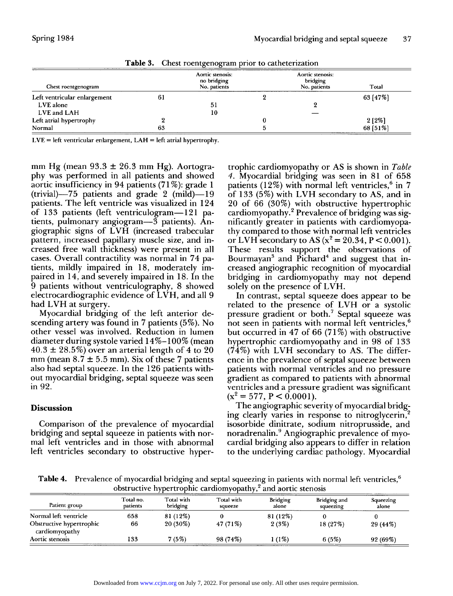| Chest roentgenogram          | Aortic stenosis:<br>no bridging<br>No. patients |    | Aortic stenosis:<br>bridging<br>No. patients |  | Total    |
|------------------------------|-------------------------------------------------|----|----------------------------------------------|--|----------|
| Left ventricular enlargement | 61                                              |    |                                              |  | 63[47%]  |
| LVE alone                    |                                                 | 51 |                                              |  |          |
| LVE and LAH                  |                                                 | 10 |                                              |  |          |
| Left atrial hypertrophy      |                                                 |    |                                              |  | $2[2\%]$ |
| Normal                       | 63                                              |    |                                              |  | 68 [51%] |

**Table 3. Chest roentgenogram prior to catheterization** 

**LVE = left ventricular enlargement, LAH = left atrial hypertrophy.** 

mm Hg (mean  $93.3 \pm 26.3$  mm Hg). Aortography was performed in all patients and showed aortic insufficiency in 94 patients (71%): grade 1 (trivial)—75 patients and grade 2 (mild)—19 patients. The left ventricle was visualized in 124 of 133 patients (left ventriculogram—121 patients, pulmonary angiogram—3 patients). Angiographic signs of LVH (increased trabecular pattern, increased papillary muscle size, and increased free wall thickness) were present in all cases. Overall contractility was normal in 74 patients, mildly impaired in 18, moderately impaired in 14, and severely impaired in 18. In the 9 patients without ventriculography, 8 showed electrocardiographic evidence of LVH, and all 9 had LVH at surgery.

Myocardial bridging of the left anterior descending artery was found in 7 patients (5%). No other vessel was involved. Reduction in lumen diameter during systole varied 14%-100% (mean  $40.3 \pm 28.5\%$ ) over an arterial length of 4 to 20 mm (mean  $8.7 \pm 5.5$  mm). Six of these 7 patients also had septal squeeze. In the 126 patients without myocardial bridging, septal squeeze was seen in 92.

# **Discussion**

Comparison of the prevalence of myocardial bridging and septal squeeze in patients with normal left ventricles and in those with abnormal left ventricles secondary to obstructive hyper-

trophic cardiomyopathy or AS is shown in *Table 4.* Myocardial bridging was seen in 81 of 658 patients (12%) with normal left ventricles,<sup>6</sup> in 7 of 133 (5%) with LVH secondary to AS, and in 20 of 66 (30%) with obstructive hypertrophic cardiomyopathy.<sup>2</sup> Prevalence of bridging was significantly greater in patients with cardiomyopathy compared to those with normal left ventricles or LVH secondary to AS  $(x^2 = 20.34, P < 0.001)$ . These results support the observations of Bourmayan<sup>3</sup> and  $\overrightarrow{P}$ ichard<sup>4</sup> and suggest that increased angiographic recognition of myocardial bridging in cardiomyopathy may not depend solely on the presence of LVH.

In contrast, septal squeeze does appear to be related to the presence of LVH or a systolic pressure gradient or both.<sup>7</sup> Septal squeeze was not seen in patients with normal left ventricles,<sup>6</sup> but occurred in 47 of 66 (71%) with obstructive hypertrophic cardiomyopathy and in 98 of 133  $(74%)$  with LVH secondary to AS. The difference in the prevalence of septal squeeze between patients with normal ventricles and no pressure gradient as compared to patients with abnormal ventricles and a pressure gradient was significant  $(x^2 = 577, P < 0.0001)$ .

The angiographic severity of myocardial bridging clearly varies in response to nitroglycerin, isosorbide dinitrate, sodium nitroprusside, and noradrenalin.<sup>9</sup> Angiographic prevalence of myocardial bridging also appears to differ in relation to the underlying cardiac pathology. Myocardial

**Table 4. Prevalence of myocardial bridging and septal squeezing in patients with normal left ventricles,<sup>6</sup> obstructive hypertrophic cardiomyopathy,<sup>2</sup> and aortic stenosis** 

| Patient group                              | Total no.<br>patients | Total with<br>bridging | Total with<br>squeeze | <b>Bridging</b><br>alone | Bridging and<br>squeezing | Squeezing<br>alone |
|--------------------------------------------|-----------------------|------------------------|-----------------------|--------------------------|---------------------------|--------------------|
| Normal left ventricle                      | 658                   | 81 (12%)               |                       | 81 (12%)                 |                           |                    |
| Obstructive hypertrophic<br>cardiomyopathy | 66                    | $20(30\%)$             | 47 (71%)              | 2(3%)                    | 18(27%)                   | 29 (44%)           |
| Aortic stenosis                            | 133                   | 7(5%)                  | 98 (74%)              | $(1\%)$                  | 6(5%)                     | 92 (69%)           |